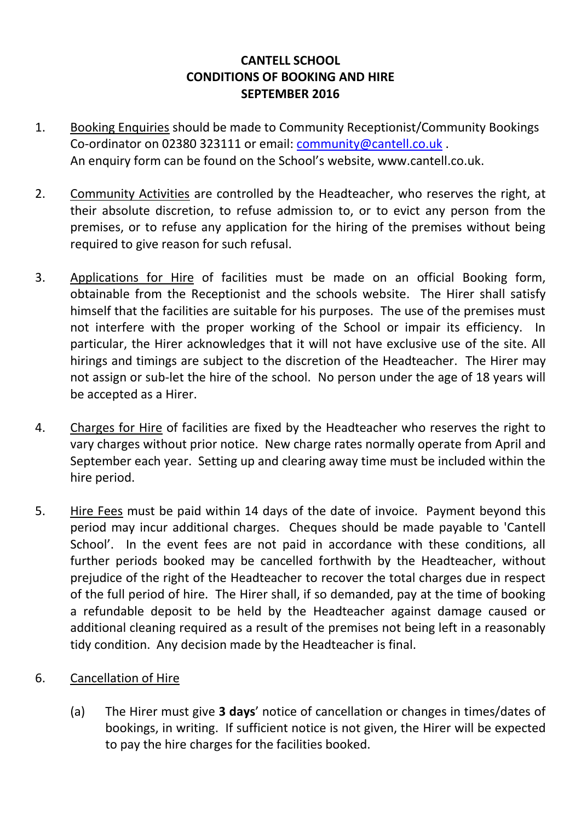# **CANTELL SCHOOL CONDITIONS OF BOOKING AND HIRE SEPTEMBER 2016**

- 1. Booking Enquiries should be made to Community Receptionist/Community Bookings Co-ordinator on 02380 323111 or email: [community@cantell.co.uk](mailto:community@cantell.co.uk) . An enquiry form can be found on the School's website, www.cantell.co.uk.
- 2. Community Activities are controlled by the Headteacher, who reserves the right, at their absolute discretion, to refuse admission to, or to evict any person from the premises, or to refuse any application for the hiring of the premises without being required to give reason for such refusal.
- 3. Applications for Hire of facilities must be made on an official Booking form, obtainable from the Receptionist and the schools website. The Hirer shall satisfy himself that the facilities are suitable for his purposes. The use of the premises must not interfere with the proper working of the School or impair its efficiency. In particular, the Hirer acknowledges that it will not have exclusive use of the site. All hirings and timings are subject to the discretion of the Headteacher. The Hirer may not assign or sub-let the hire of the school. No person under the age of 18 years will be accepted as a Hirer.
- 4. Charges for Hire of facilities are fixed by the Headteacher who reserves the right to vary charges without prior notice. New charge rates normally operate from April and September each year. Setting up and clearing away time must be included within the hire period.
- 5. Hire Fees must be paid within 14 days of the date of invoice. Payment beyond this period may incur additional charges. Cheques should be made payable to 'Cantell School'. In the event fees are not paid in accordance with these conditions, all further periods booked may be cancelled forthwith by the Headteacher, without prejudice of the right of the Headteacher to recover the total charges due in respect of the full period of hire. The Hirer shall, if so demanded, pay at the time of booking a refundable deposit to be held by the Headteacher against damage caused or additional cleaning required as a result of the premises not being left in a reasonably tidy condition. Any decision made by the Headteacher is final.

## 6. Cancellation of Hire

(a) The Hirer must give **3 days**' notice of cancellation or changes in times/dates of bookings, in writing. If sufficient notice is not given, the Hirer will be expected to pay the hire charges for the facilities booked.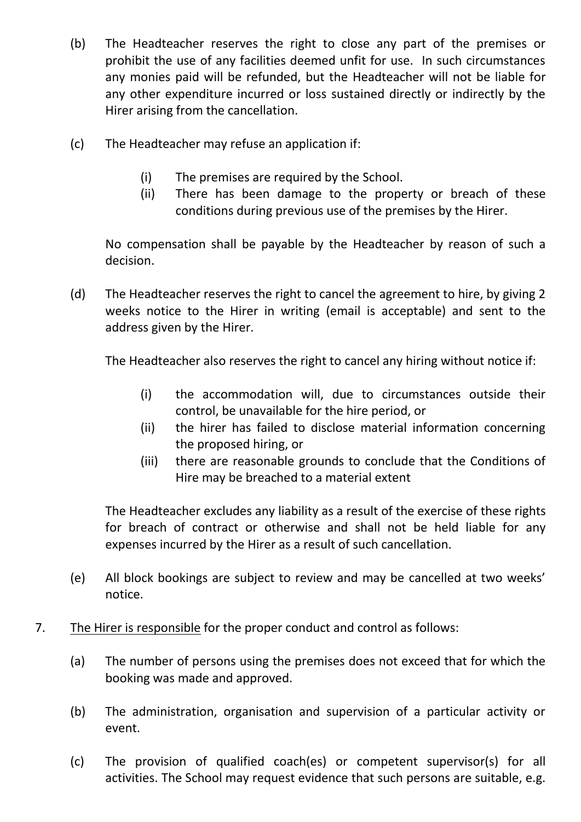- (b) The Headteacher reserves the right to close any part of the premises or prohibit the use of any facilities deemed unfit for use. In such circumstances any monies paid will be refunded, but the Headteacher will not be liable for any other expenditure incurred or loss sustained directly or indirectly by the Hirer arising from the cancellation.
- (c) The Headteacher may refuse an application if:
	- (i) The premises are required by the School.
	- (ii) There has been damage to the property or breach of these conditions during previous use of the premises by the Hirer.

No compensation shall be payable by the Headteacher by reason of such a decision.

(d) The Headteacher reserves the right to cancel the agreement to hire, by giving 2 weeks notice to the Hirer in writing (email is acceptable) and sent to the address given by the Hirer.

The Headteacher also reserves the right to cancel any hiring without notice if:

- (i) the accommodation will, due to circumstances outside their control, be unavailable for the hire period, or
- (ii) the hirer has failed to disclose material information concerning the proposed hiring, or
- (iii) there are reasonable grounds to conclude that the Conditions of Hire may be breached to a material extent

The Headteacher excludes any liability as a result of the exercise of these rights for breach of contract or otherwise and shall not be held liable for any expenses incurred by the Hirer as a result of such cancellation.

- (e) All block bookings are subject to review and may be cancelled at two weeks' notice.
- 7. The Hirer is responsible for the proper conduct and control as follows:
	- (a) The number of persons using the premises does not exceed that for which the booking was made and approved.
	- (b) The administration, organisation and supervision of a particular activity or event.
	- (c) The provision of qualified coach(es) or competent supervisor(s) for all activities. The School may request evidence that such persons are suitable, e.g.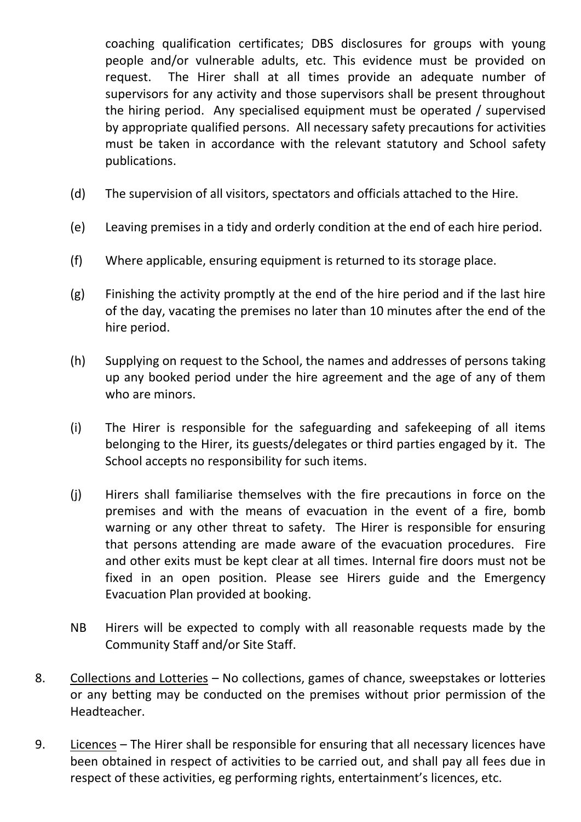coaching qualification certificates; DBS disclosures for groups with young people and/or vulnerable adults, etc. This evidence must be provided on request. The Hirer shall at all times provide an adequate number of supervisors for any activity and those supervisors shall be present throughout the hiring period. Any specialised equipment must be operated / supervised by appropriate qualified persons. All necessary safety precautions for activities must be taken in accordance with the relevant statutory and School safety publications.

- (d) The supervision of all visitors, spectators and officials attached to the Hire.
- (e) Leaving premises in a tidy and orderly condition at the end of each hire period.
- (f) Where applicable, ensuring equipment is returned to its storage place.
- (g) Finishing the activity promptly at the end of the hire period and if the last hire of the day, vacating the premises no later than 10 minutes after the end of the hire period.
- (h) Supplying on request to the School, the names and addresses of persons taking up any booked period under the hire agreement and the age of any of them who are minors.
- (i) The Hirer is responsible for the safeguarding and safekeeping of all items belonging to the Hirer, its guests/delegates or third parties engaged by it. The School accepts no responsibility for such items.
- (j) Hirers shall familiarise themselves with the fire precautions in force on the premises and with the means of evacuation in the event of a fire, bomb warning or any other threat to safety. The Hirer is responsible for ensuring that persons attending are made aware of the evacuation procedures. Fire and other exits must be kept clear at all times. Internal fire doors must not be fixed in an open position. Please see Hirers guide and the Emergency Evacuation Plan provided at booking.
- NB Hirers will be expected to comply with all reasonable requests made by the Community Staff and/or Site Staff.
- 8. Collections and Lotteries No collections, games of chance, sweepstakes or lotteries or any betting may be conducted on the premises without prior permission of the Headteacher.
- 9. Licences The Hirer shall be responsible for ensuring that all necessary licences have been obtained in respect of activities to be carried out, and shall pay all fees due in respect of these activities, eg performing rights, entertainment's licences, etc.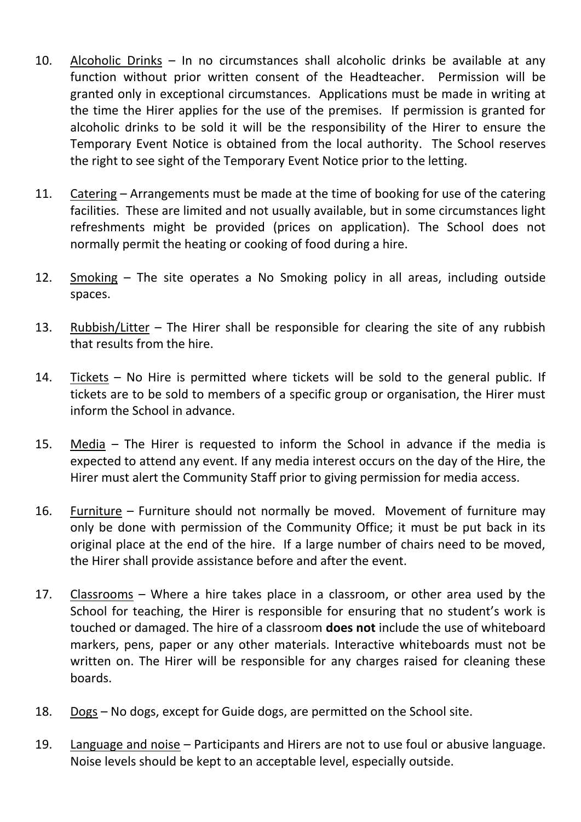- 10. Alcoholic Drinks In no circumstances shall alcoholic drinks be available at any function without prior written consent of the Headteacher. Permission will be granted only in exceptional circumstances. Applications must be made in writing at the time the Hirer applies for the use of the premises. If permission is granted for alcoholic drinks to be sold it will be the responsibility of the Hirer to ensure the Temporary Event Notice is obtained from the local authority. The School reserves the right to see sight of the Temporary Event Notice prior to the letting.
- 11. Catering Arrangements must be made at the time of booking for use of the catering facilities. These are limited and not usually available, but in some circumstances light refreshments might be provided (prices on application). The School does not normally permit the heating or cooking of food during a hire.
- 12. Smoking The site operates a No Smoking policy in all areas, including outside spaces.
- 13. Rubbish/Litter The Hirer shall be responsible for clearing the site of any rubbish that results from the hire.
- 14. Tickets No Hire is permitted where tickets will be sold to the general public. If tickets are to be sold to members of a specific group or organisation, the Hirer must inform the School in advance.
- 15. Media The Hirer is requested to inform the School in advance if the media is expected to attend any event. If any media interest occurs on the day of the Hire, the Hirer must alert the Community Staff prior to giving permission for media access.
- 16. Furniture Furniture should not normally be moved. Movement of furniture may only be done with permission of the Community Office; it must be put back in its original place at the end of the hire. If a large number of chairs need to be moved, the Hirer shall provide assistance before and after the event.
- 17. Classrooms Where a hire takes place in a classroom, or other area used by the School for teaching, the Hirer is responsible for ensuring that no student's work is touched or damaged. The hire of a classroom **does not** include the use of whiteboard markers, pens, paper or any other materials. Interactive whiteboards must not be written on. The Hirer will be responsible for any charges raised for cleaning these boards.
- 18. Dogs No dogs, except for Guide dogs, are permitted on the School site.
- 19. Language and noise Participants and Hirers are not to use foul or abusive language. Noise levels should be kept to an acceptable level, especially outside.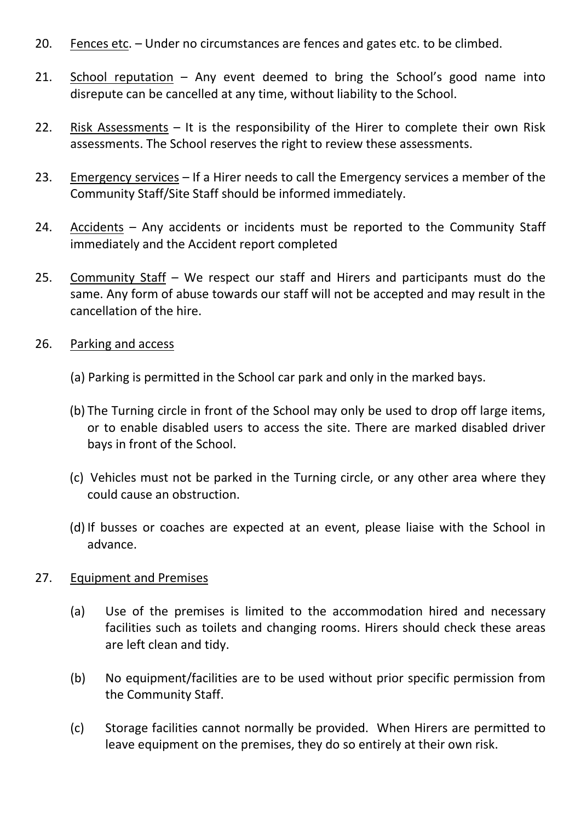- 20. Fences etc. Under no circumstances are fences and gates etc. to be climbed.
- 21. School reputation Any event deemed to bring the School's good name into disrepute can be cancelled at any time, without liability to the School.
- 22. Risk Assessments It is the responsibility of the Hirer to complete their own Risk assessments. The School reserves the right to review these assessments.
- 23. Emergency services If a Hirer needs to call the Emergency services a member of the Community Staff/Site Staff should be informed immediately.
- 24. Accidents Any accidents or incidents must be reported to the Community Staff immediately and the Accident report completed
- 25. Community Staff We respect our staff and Hirers and participants must do the same. Any form of abuse towards our staff will not be accepted and may result in the cancellation of the hire.

### 26. Parking and access

- (a) Parking is permitted in the School car park and only in the marked bays.
- (b) The Turning circle in front of the School may only be used to drop off large items, or to enable disabled users to access the site. There are marked disabled driver bays in front of the School.
- (c) Vehicles must not be parked in the Turning circle, or any other area where they could cause an obstruction.
- (d) If busses or coaches are expected at an event, please liaise with the School in advance.

## 27. Equipment and Premises

- (a) Use of the premises is limited to the accommodation hired and necessary facilities such as toilets and changing rooms. Hirers should check these areas are left clean and tidy.
- (b) No equipment/facilities are to be used without prior specific permission from the Community Staff.
- (c) Storage facilities cannot normally be provided. When Hirers are permitted to leave equipment on the premises, they do so entirely at their own risk.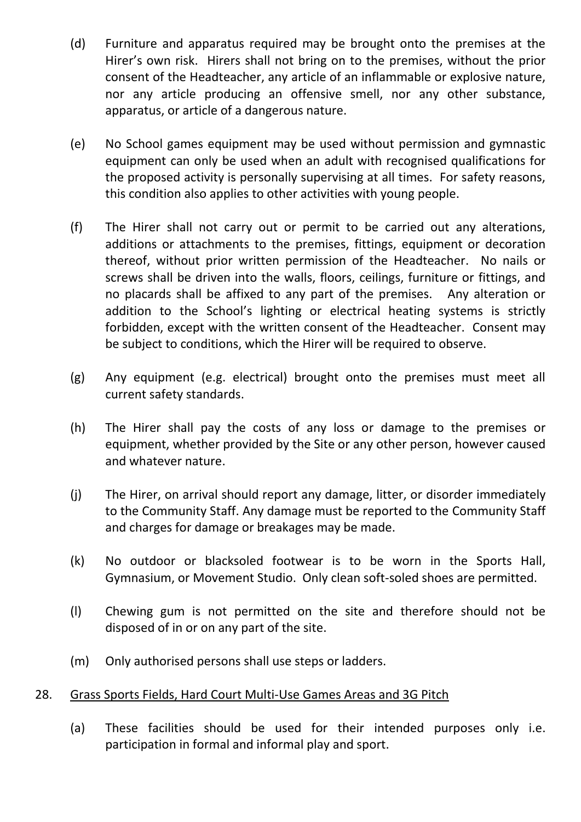- (d) Furniture and apparatus required may be brought onto the premises at the Hirer's own risk. Hirers shall not bring on to the premises, without the prior consent of the Headteacher, any article of an inflammable or explosive nature, nor any article producing an offensive smell, nor any other substance, apparatus, or article of a dangerous nature.
- (e) No School games equipment may be used without permission and gymnastic equipment can only be used when an adult with recognised qualifications for the proposed activity is personally supervising at all times. For safety reasons, this condition also applies to other activities with young people.
- (f) The Hirer shall not carry out or permit to be carried out any alterations, additions or attachments to the premises, fittings, equipment or decoration thereof, without prior written permission of the Headteacher. No nails or screws shall be driven into the walls, floors, ceilings, furniture or fittings, and no placards shall be affixed to any part of the premises. Any alteration or addition to the School's lighting or electrical heating systems is strictly forbidden, except with the written consent of the Headteacher. Consent may be subject to conditions, which the Hirer will be required to observe.
- (g) Any equipment (e.g. electrical) brought onto the premises must meet all current safety standards.
- (h) The Hirer shall pay the costs of any loss or damage to the premises or equipment, whether provided by the Site or any other person, however caused and whatever nature.
- (j) The Hirer, on arrival should report any damage, litter, or disorder immediately to the Community Staff. Any damage must be reported to the Community Staff and charges for damage or breakages may be made.
- (k) No outdoor or blacksoled footwear is to be worn in the Sports Hall, Gymnasium, or Movement Studio. Only clean soft-soled shoes are permitted.
- (l) Chewing gum is not permitted on the site and therefore should not be disposed of in or on any part of the site.
- (m) Only authorised persons shall use steps or ladders.

### 28. Grass Sports Fields, Hard Court Multi-Use Games Areas and 3G Pitch

(a) These facilities should be used for their intended purposes only i.e. participation in formal and informal play and sport.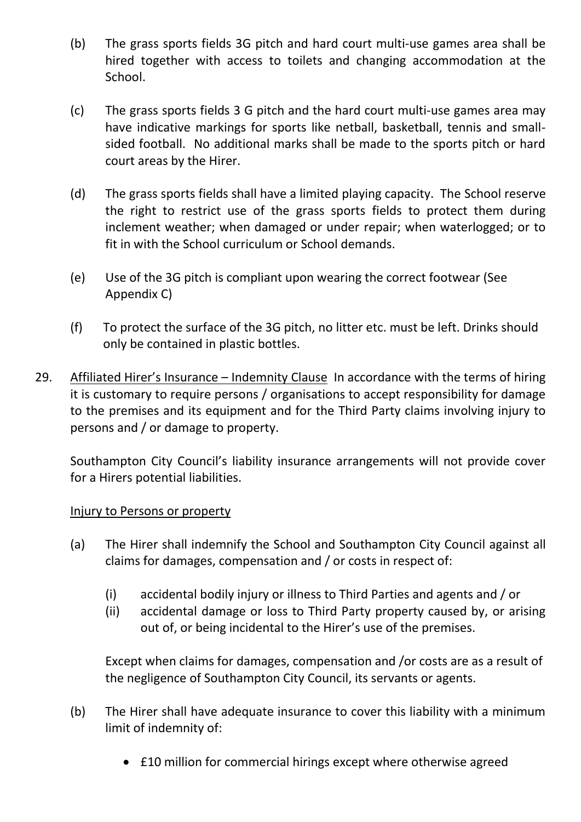- (b) The grass sports fields 3G pitch and hard court multi-use games area shall be hired together with access to toilets and changing accommodation at the School.
- (c) The grass sports fields 3 G pitch and the hard court multi-use games area may have indicative markings for sports like netball, basketball, tennis and smallsided football. No additional marks shall be made to the sports pitch or hard court areas by the Hirer.
- (d) The grass sports fields shall have a limited playing capacity. The School reserve the right to restrict use of the grass sports fields to protect them during inclement weather; when damaged or under repair; when waterlogged; or to fit in with the School curriculum or School demands.
- (e) Use of the 3G pitch is compliant upon wearing the correct footwear (See Appendix C)
- (f) To protect the surface of the 3G pitch, no litter etc. must be left. Drinks should only be contained in plastic bottles.
- 29. Affiliated Hirer's Insurance Indemnity Clause In accordance with the terms of hiring it is customary to require persons / organisations to accept responsibility for damage to the premises and its equipment and for the Third Party claims involving injury to persons and / or damage to property.

Southampton City Council's liability insurance arrangements will not provide cover for a Hirers potential liabilities.

## Injury to Persons or property

- (a) The Hirer shall indemnify the School and Southampton City Council against all claims for damages, compensation and / or costs in respect of:
	- (i) accidental bodily injury or illness to Third Parties and agents and / or
	- (ii) accidental damage or loss to Third Party property caused by, or arising out of, or being incidental to the Hirer's use of the premises.

Except when claims for damages, compensation and /or costs are as a result of the negligence of Southampton City Council, its servants or agents.

- (b) The Hirer shall have adequate insurance to cover this liability with a minimum limit of indemnity of:
	- £10 million for commercial hirings except where otherwise agreed